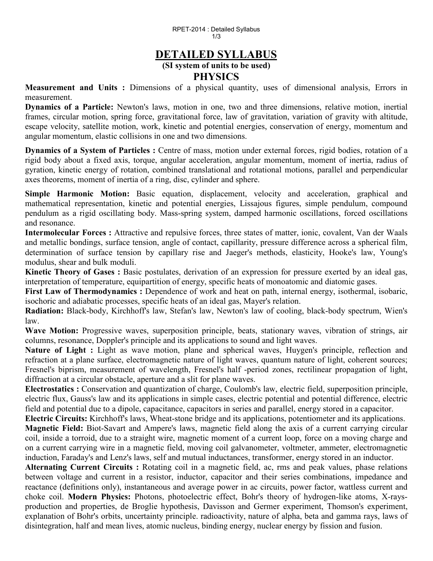RPET-2014 : Detailed Syllabus 1/3

## **DETAILED SYLLABUS**

# **(SI system of units to be used)**

#### **PHYSICS**

**Measurement and Units :** Dimensions of a physical quantity, uses of dimensional analysis, Errors in measurement.

**Dynamics of a Particle:** Newton's laws, motion in one, two and three dimensions, relative motion, inertial frames, circular motion, spring force, gravitational force, law of gravitation, variation of gravity with altitude, escape velocity, satellite motion, work, kinetic and potential energies, conservation of energy, momentum and angular momentum, elastic collisions in one and two dimensions.

**Dynamics of a System of Particles :** Centre of mass, motion under external forces, rigid bodies, rotation of a rigid body about a fixed axis, torque, angular acceleration, angular momentum, moment of inertia, radius of gyration, kinetic energy of rotation, combined translational and rotational motions, parallel and perpendicular axes theorems, moment of inertia of a ring, disc, cylinder and sphere.

**Simple Harmonic Motion:** Basic equation, displacement, velocity and acceleration, graphical and mathematical representation, kinetic and potential energies, Lissajous figures, simple pendulum, compound pendulum as a rigid oscillating body. Mass-spring system, damped harmonic oscillations, forced oscillations and resonance.

**Intermolecular Forces :** Attractive and repulsive forces, three states of matter, ionic, covalent, Van der Waals and metallic bondings, surface tension, angle of contact, capillarity, pressure difference across a spherical film, determination of surface tension by capillary rise and Jaeger's methods, elasticity, Hooke's law, Young's modulus, shear and bulk moduli.

**Kinetic Theory of Gases :** Basic postulates, derivation of an expression for pressure exerted by an ideal gas, interpretation of temperature, equipartition of energy, specific heats of monoatomic and diatomic gases.

**First Law of Thermodynamics :** Dependence of work and heat on path, internal energy, isothermal, isobaric, isochoric and adiabatic processes, specific heats of an ideal gas, Mayer's relation.

**Radiation:** Black-body, Kirchhoff's law, Stefan's law, Newton's law of cooling, black-body spectrum, Wien's law.

**Wave Motion:** Progressive waves, superposition principle, beats, stationary waves, vibration of strings, air columns, resonance, Doppler's principle and its applications to sound and light waves.

**Nature of Light :** Light as wave motion, plane and spherical waves, Huygen's principle, reflection and refraction at a plane surface, electromagnetic nature of light waves, quantum nature of light, coherent sources; Fresnel's biprism, measurement of wavelength, Fresnel's half -period zones, rectilinear propagation of light, diffraction at a circular obstacle, aperture and a slit for plane waves.

**Electrostatics :** Conservation and quantization of charge, Coulomb's law, electric field, superposition principle, electric flux, Gauss's law and its applications in simple cases, electric potential and potential difference, electric field and potential due to a dipole, capacitance, capacitors in series and parallel, energy stored in a capacitor.

**Electric Circuits:** Kirchhoff's laws, Wheat-stone bridge and its applications, potentiometer and its applications. **Magnetic Field:** Biot-Savart and Ampere's laws, magnetic field along the axis of a current carrying circular coil, inside a torroid, due to a straight wire, magnetic moment of a current loop, force on a moving charge and on a current carrying wire in a magnetic field, moving coil galvanometer, voltmeter, ammeter, electromagnetic induction, Faraday's and Lenz's laws, self and mutual inductances, transformer, energy stored in an inductor.

**Alternating Current Circuits :** Rotating coil in a magnetic field, ac, rms and peak values, phase relations between voltage and current in a resistor, inductor, capacitor and their series combinations, impedance and reactance (definitions only), instantaneous and average power in ac circuits, power factor, wattless current and choke coil. **Modern Physics:** Photons, photoelectric effect, Bohr's theory of hydrogen-like atoms, X-raysproduction and properties, de Broglie hypothesis, Davisson and Germer experiment, Thomson's experiment, explanation of Bohr's orbits, uncertainty principle. radioactivity, nature of alpha, beta and gamma rays, laws of disintegration, half and mean lives, atomic nucleus, binding energy, nuclear energy by fission and fusion.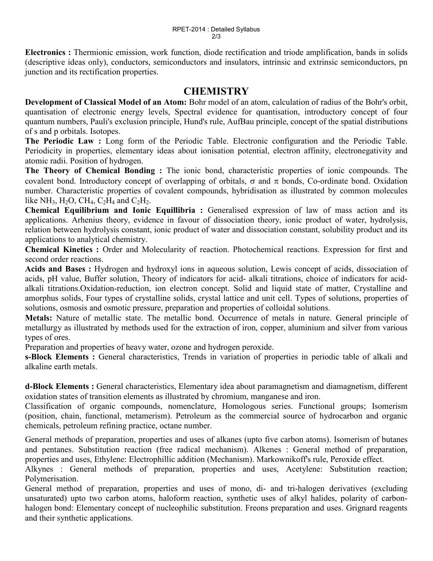**Electronics :** Thermionic emission, work function, diode rectification and triode amplification, bands in solids (descriptive ideas only), conductors, semiconductors and insulators, intrinsic and extrinsic semiconductors, pn junction and its rectification properties.

#### **CHEMISTRY**

**Development of Classical Model of an Atom:** Bohr model of an atom, calculation of radius of the Bohr's orbit, quantisation of electronic energy levels, Spectral evidence for quantisation, introductory concept of four quantum numbers, Pauli's exclusion principle, Hund's rule, AufBau principle, concept of the spatial distributions of s and p orbitals. Isotopes.

**The Periodic Law :** Long form of the Periodic Table. Electronic configuration and the Periodic Table. Periodicity in properties, elementary ideas about ionisation potential, electron affinity, electronegativity and atomic radii. Position of hydrogen.

**The Theory of Chemical Bonding :** The ionic bond, characteristic properties of ionic compounds. The covalent bond. Introductory concept of overlapping of orbitals, σ and π bonds, Co-ordinate bond. Oxidation number. Characteristic properties of covalent compounds, hybridisation as illustrated by common molecules like NH<sub>3</sub>, H<sub>2</sub>O, CH<sub>4</sub>, C<sub>2</sub>H<sub>4</sub> and C<sub>2</sub>H<sub>2</sub>.

**Chemical Equilibrium and Ionic Equillibria :** Generalised expression of law of mass action and its applications. Arhenius theory, evidence in favour of dissociation theory, ionic product of water, hydrolysis, relation between hydrolysis constant, ionic product of water and dissociation constant, solubility product and its applications to analytical chemistry.

**Chemical Kinetics :** Order and Molecularity of reaction. Photochemical reactions. Expression for first and second order reactions.

**Acids and Bases :** Hydrogen and hydroxyl ions in aqueous solution, Lewis concept of acids, dissociation of acids, pH value, Buffer solution, Theory of indicators for acid- alkali titrations, choice of indicators for acidalkali titrations.Oxidation-reduction, ion electron concept. Solid and liquid state of matter, Crystalline and amorphus solids, Four types of crystalline solids, crystal lattice and unit cell. Types of solutions, properties of solutions, osmosis and osmotic pressure, preparation and properties of colloidal solutions.

**Metals:** Nature of metallic state. The metallic bond. Occurrence of metals in nature. General principle of metallurgy as illustrated by methods used for the extraction of iron, copper, aluminium and silver from various types of ores.

Preparation and properties of heavy water, ozone and hydrogen peroxide.

**s-Block Elements :** General characteristics, Trends in variation of properties in periodic table of alkali and alkaline earth metals.

**d-Block Elements :** General characteristics, Elementary idea about paramagnetism and diamagnetism, different oxidation states of transition elements as illustrated by chromium, manganese and iron.

Classification of organic compounds, nomenclature, Homologous series. Functional groups; Isomerism (position, chain, functional, metamerism). Petroleum as the commercial source of hydrocarbon and organic chemicals, petroleum refining practice, octane number.

General methods of preparation, properties and uses of alkanes (upto five carbon atoms). Isomerism of butanes and pentanes. Substitution reaction (free radical mechanism). Alkenes : General method of preparation, properties and uses, Ethylene: Electrophillic addition (Mechanism). Markownikoff's rule, Peroxide effect.

Alkynes : General methods of preparation, properties and uses, Acetylene: Substitution reaction; Polymerisation.

General method of preparation, properties and uses of mono, di- and tri-halogen derivatives (excluding unsaturated) upto two carbon atoms, haloform reaction, synthetic uses of alkyl halides, polarity of carbonhalogen bond: Elementary concept of nucleophilic substitution. Freons preparation and uses. Grignard reagents and their synthetic applications.